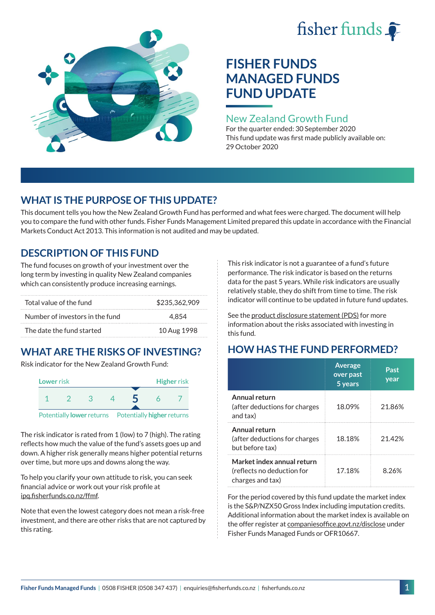# fisher funds  $\hat{\bullet}$



## **FISHER FUNDS MANAGED FUNDS FUND UPDATE**

## New Zealand Growth Fund

For the quarter ended: 30 September 2020 This fund update was first made publicly available on: 29 October 2020

## **WHAT IS THE PURPOSE OF THIS UPDATE?**

This document tells you how the New Zealand Growth Fund has performed and what fees were charged. The document will help you to compare the fund with other funds. Fisher Funds Management Limited prepared this update in accordance with the Financial Markets Conduct Act 2013. This information is not audited and may be updated.

## **DESCRIPTION OF THIS FUND**

The fund focuses on growth of your investment over the long term by investing in quality New Zealand companies which can consistently produce increasing earnings.

| Total value of the fund         | \$235,362,909 |
|---------------------------------|---------------|
| Number of investors in the fund | 4.854         |
| The date the fund started       | 10 Aug 1998   |

## **WHAT ARE THE RISKS OF INVESTING?**

Risk indicator for the New Zealand Growth Fund:



The risk indicator is rated from 1 (low) to 7 (high). The rating reflects how much the value of the fund's assets goes up and down. A higher risk generally means higher potential returns over time, but more ups and downs along the way.

To help you clarify your own attitude to risk, you can seek financial advice or work out your risk profile at [ipq.fisherfunds.co.nz/ffmf](https://ipq.fisherfunds.co.nz/ffmf).

Note that even the lowest category does not mean a risk-free investment, and there are other risks that are not captured by this rating.

This risk indicator is not a guarantee of a fund's future performance. The risk indicator is based on the returns data for the past 5 years. While risk indicators are usually relatively stable, they do shift from time to time. The risk indicator will continue to be updated in future fund updates.

See the [product disclosure statement \(PDS\)](https://fisherfunds.co.nz/assets/PDS/Fisher-Funds-Managed-Funds-PDS.pdf) for more information about the risks associated with investing in this fund.

## **HOW HAS THE FUND PERFORMED?**

|                                                                              | <b>Average</b><br>over past<br>5 years | Past<br>year |
|------------------------------------------------------------------------------|----------------------------------------|--------------|
| Annual return<br>(after deductions for charges<br>and tax)                   | 18.09%                                 | 21.86%       |
| Annual return<br>(after deductions for charges<br>but before tax)            | 18.18%                                 | 21.42%       |
| Market index annual return<br>(reflects no deduction for<br>charges and tax) | 17.18%                                 | 8.26%        |

For the period covered by this fund update the market index is the S&P/NZX50 Gross Index including imputation credits. Additional information about the market index is available on the offer register at [companiesoffice.govt.nz/disclose](http://companiesoffice.govt.nz/disclose) under Fisher Funds Managed Funds or OFR10667.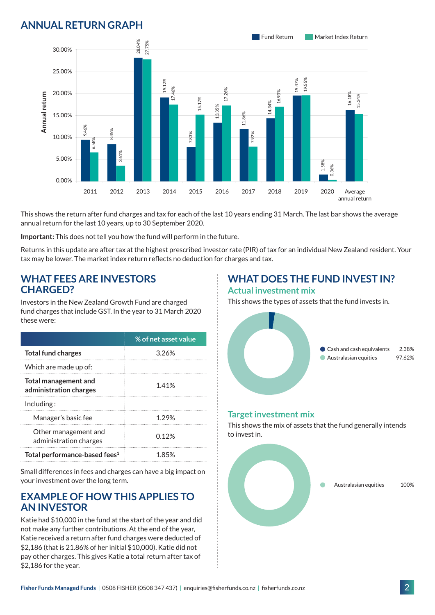## **ANNUAL RETURN GRAPH**



This shows the return after fund charges and tax for each of the last 10 years ending 31 March. The last bar shows the average annual return for the last 10 years, up to 30 September 2020.

**Important:** This does not tell you how the fund will perform in the future.

Returns in this update are after tax at the highest prescribed investor rate (PIR) of tax for an individual New Zealand resident. Your tax may be lower. The market index return reflects no deduction for charges and tax.

#### **WHAT FEES ARE INVESTORS CHARGED?**

Investors in the New Zealand Growth Fund are charged fund charges that include GST. In the year to 31 March 2020 these were:

|                                                | % of net asset value |
|------------------------------------------------|----------------------|
| <b>Total fund charges</b>                      | 3.26%                |
| Which are made up of:                          |                      |
| Total management and<br>administration charges | 1.41%                |
| Inding:                                        |                      |
| Manager's basic fee                            | 1.29%                |
| Other management and<br>administration charges | በ 12%                |
| Total performance-based fees <sup>1</sup>      | 1 85%                |

Small differences in fees and charges can have a big impact on your investment over the long term.

#### **EXAMPLE OF HOW THIS APPLIES TO AN INVESTOR**

Katie had \$10,000 in the fund at the start of the year and did not make any further contributions. At the end of the year, Katie received a return after fund charges were deducted of \$2,186 (that is 21.86% of her initial \$10,000). Katie did not pay other charges. This gives Katie a total return after tax of \$2,186 for the year.

#### **WHAT DOES THE FUND INVEST IN? Actual investment mix**

This shows the types of assets that the fund invests in.



#### **Target investment mix**

This shows the mix of assets that the fund generally intends to invest in.